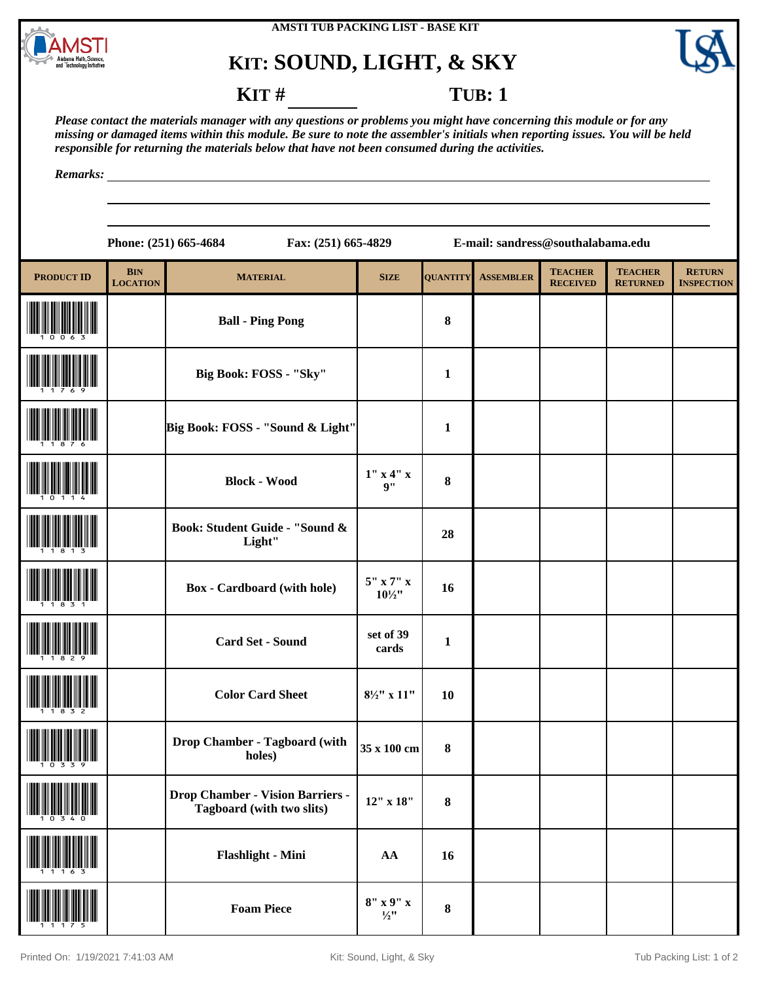

## **KIT: SOUND, LIGHT, & SKY**



## **KIT** # **TUB**: 1

*Please contact the materials manager with any questions or problems you might have concerning this module or for any missing or damaged items within this module. Be sure to note the assembler's initials when reporting issues. You will be held responsible for returning the materials below that have not been consumed during the activities.*

*Remarks:*

|                   |                                   | Phone: (251) 665-4684<br>Fax: (251) 665-4829                         | E-mail: sandress@southalabama.edu |                 |                  |                                   |                                   |                                    |  |
|-------------------|-----------------------------------|----------------------------------------------------------------------|-----------------------------------|-----------------|------------------|-----------------------------------|-----------------------------------|------------------------------------|--|
| <b>PRODUCT ID</b> | $\mathbf{BIN}$<br><b>LOCATION</b> | <b>MATERIAL</b>                                                      | <b>SIZE</b>                       | <b>QUANTITY</b> | <b>ASSEMBLER</b> | <b>TEACHER</b><br><b>RECEIVED</b> | <b>TEACHER</b><br><b>RETURNED</b> | <b>RETURN</b><br><b>INSPECTION</b> |  |
|                   |                                   | <b>Ball - Ping Pong</b>                                              |                                   | 8               |                  |                                   |                                   |                                    |  |
|                   |                                   | Big Book: FOSS - "Sky"                                               |                                   | $\mathbf{1}$    |                  |                                   |                                   |                                    |  |
|                   |                                   | Big Book: FOSS - "Sound & Light"                                     |                                   | 1               |                  |                                   |                                   |                                    |  |
|                   |                                   | <b>Block - Wood</b>                                                  | $1''$ x 4" x<br>9"                | 8               |                  |                                   |                                   |                                    |  |
|                   |                                   | Book: Student Guide - "Sound &<br>Light"                             |                                   | 28              |                  |                                   |                                   |                                    |  |
|                   |                                   | <b>Box</b> - Cardboard (with hole)                                   | $5"$ x 7" x<br>$10\frac{1}{2}$ "  | 16              |                  |                                   |                                   |                                    |  |
|                   |                                   | <b>Card Set - Sound</b>                                              | set of 39<br>cards                | $\mathbf{1}$    |                  |                                   |                                   |                                    |  |
|                   |                                   | <b>Color Card Sheet</b>                                              | $8\frac{1}{2}$ " x 11"            | 10              |                  |                                   |                                   |                                    |  |
| 1 U 3 3 Y         |                                   | Drop Chamber - Tagboard (with<br>holes)                              | 35 x 100 cm                       | 8               |                  |                                   |                                   |                                    |  |
|                   |                                   | <b>Drop Chamber - Vision Barriers -</b><br>Tagboard (with two slits) | $12"$ x $18"$                     | 8               |                  |                                   |                                   |                                    |  |
|                   |                                   | Flashlight - Mini                                                    | AA                                | 16              |                  |                                   |                                   |                                    |  |
| ----------------- |                                   |                                                                      |                                   |                 |                  |                                   |                                   |                                    |  |

(11175) **Foam Piece 8" x 9" x** 

 $\begin{array}{c|c} 8'' & x & 9'' & x \\ \hline \frac{1}{2}'' & & 8 \end{array}$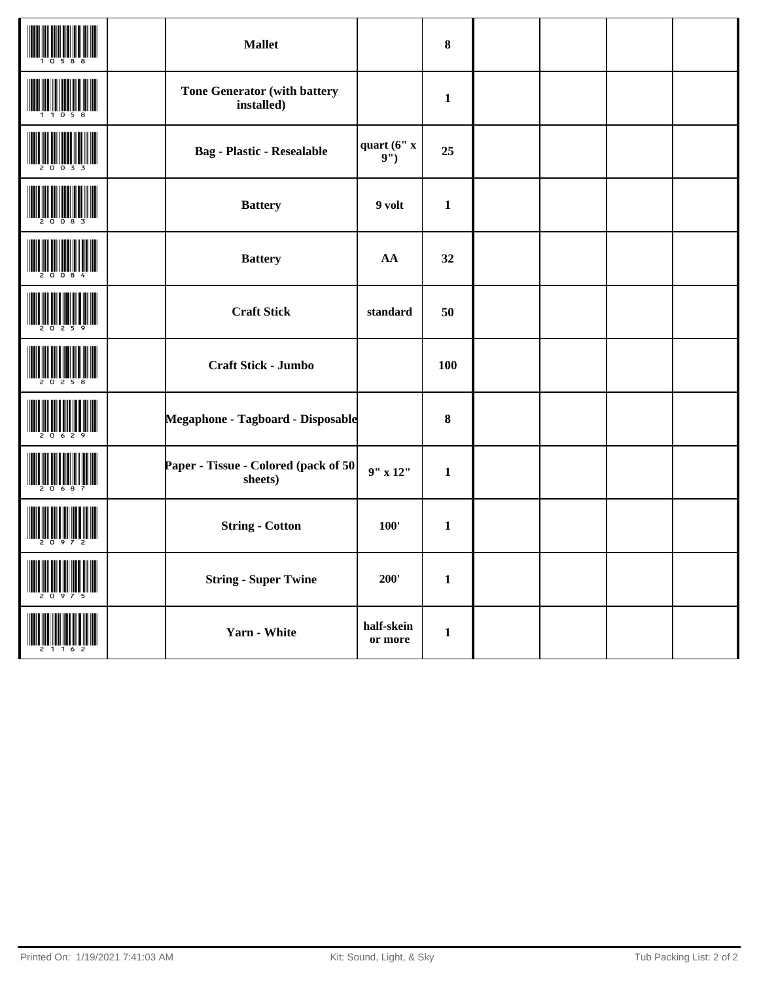|  | <b>Mallet</b>                                     |                       | $\pmb{8}$    |  |  |
|--|---------------------------------------------------|-----------------------|--------------|--|--|
|  | <b>Tone Generator (with battery</b><br>installed) |                       | $\mathbf{1}$ |  |  |
|  | <b>Bag - Plastic - Resealable</b>                 | quart (6" x<br>9")    | 25           |  |  |
|  | <b>Battery</b>                                    | 9 volt                | $\mathbf{1}$ |  |  |
|  | <b>Battery</b>                                    | AA                    | 32           |  |  |
|  | <b>Craft Stick</b>                                | standard              | 50           |  |  |
|  | Craft Stick - Jumbo                               |                       | 100          |  |  |
|  | Megaphone - Tagboard - Disposable                 |                       | $\pmb{8}$    |  |  |
|  | Paper - Tissue - Colored (pack of 50<br>sheets)   | $9''$ x $12''$        | $\mathbf{1}$ |  |  |
|  | <b>String - Cotton</b>                            | 100'                  | $\mathbf{1}$ |  |  |
|  | <b>String - Super Twine</b>                       | 200'                  | $\mathbf{1}$ |  |  |
|  | <b>Yarn - White</b>                               | half-skein<br>or more | $\mathbf{1}$ |  |  |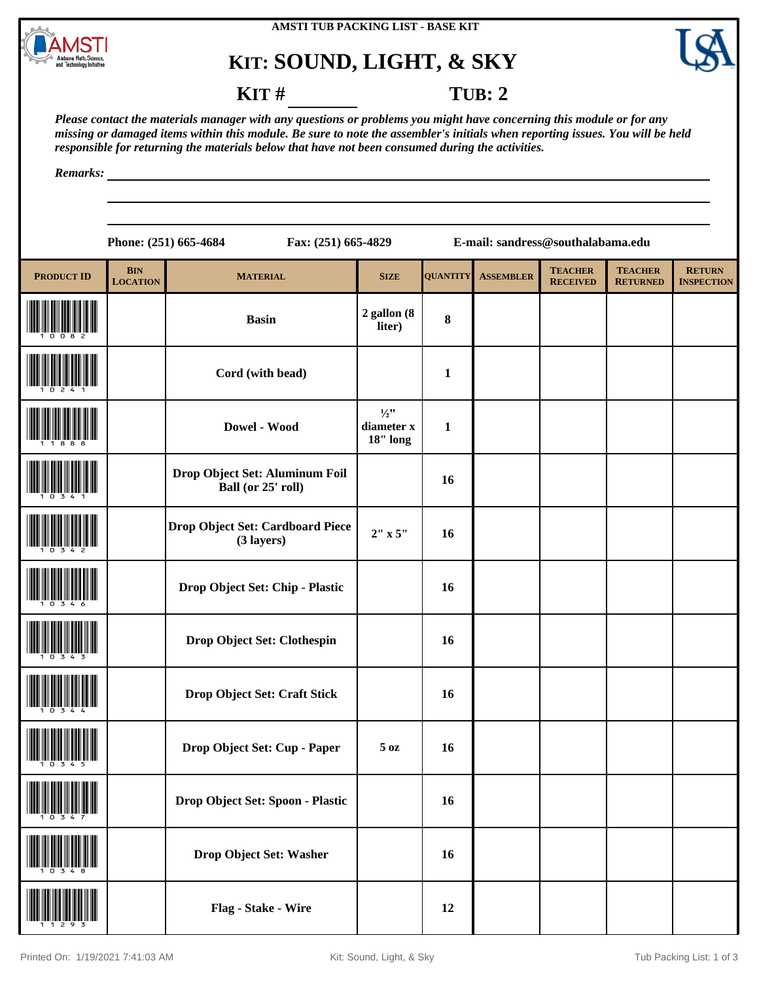

## **KIT: SOUND, LIGHT, & SKY**



**KIT** # **TUB: 2** 

*Please contact the materials manager with any questions or problems you might have concerning this module or for any missing or damaged items within this module. Be sure to note the assembler's initials when reporting issues. You will be held responsible for returning the materials below that have not been consumed during the activities.*

*Remarks:*

**Phone: (251) 665-4684 Fax: (251) 665-4829 E-mail: sandress@southalabama.edu**

| <b>PRODUCT ID</b> | <b>BIN</b><br><b>LOCATION</b> | <b>MATERIAL</b>                                      | <b>SIZE</b>                               | <b>QUANTITY</b> | <b>ASSEMBLER</b> | <b>TEACHER</b><br><b>RECEIVED</b> | <b>TEACHER</b><br><b>RETURNED</b> | <b>RETURN</b><br><b>INSPECTION</b> |
|-------------------|-------------------------------|------------------------------------------------------|-------------------------------------------|-----------------|------------------|-----------------------------------|-----------------------------------|------------------------------------|
|                   |                               | <b>Basin</b>                                         | 2 gallon (8<br>liter)                     | $\bf{8}$        |                  |                                   |                                   |                                    |
|                   |                               | Cord (with bead)                                     |                                           | $\mathbf{1}$    |                  |                                   |                                   |                                    |
|                   |                               | Dowel - Wood                                         | $\frac{1}{2}$ "<br>diameter x<br>18" long | $\mathbf{1}$    |                  |                                   |                                   |                                    |
|                   |                               | Drop Object Set: Aluminum Foil<br>Ball (or 25' roll) |                                           | 16              |                  |                                   |                                   |                                    |
|                   |                               | Drop Object Set: Cardboard Piece<br>(3 layers)       | 2" x 5"                                   | 16              |                  |                                   |                                   |                                    |
|                   |                               | Drop Object Set: Chip - Plastic                      |                                           | 16              |                  |                                   |                                   |                                    |
|                   |                               | Drop Object Set: Clothespin                          |                                           | 16              |                  |                                   |                                   |                                    |
|                   |                               | Drop Object Set: Craft Stick                         |                                           | 16              |                  |                                   |                                   |                                    |
|                   |                               | Drop Object Set: Cup - Paper                         | 5 oz                                      | 16              |                  |                                   |                                   |                                    |
|                   |                               | Drop Object Set: Spoon - Plastic                     |                                           | 16              |                  |                                   |                                   |                                    |
|                   |                               | Drop Object Set: Washer                              |                                           | 16              |                  |                                   |                                   |                                    |
|                   |                               | Flag - Stake - Wire                                  |                                           | 12              |                  |                                   |                                   |                                    |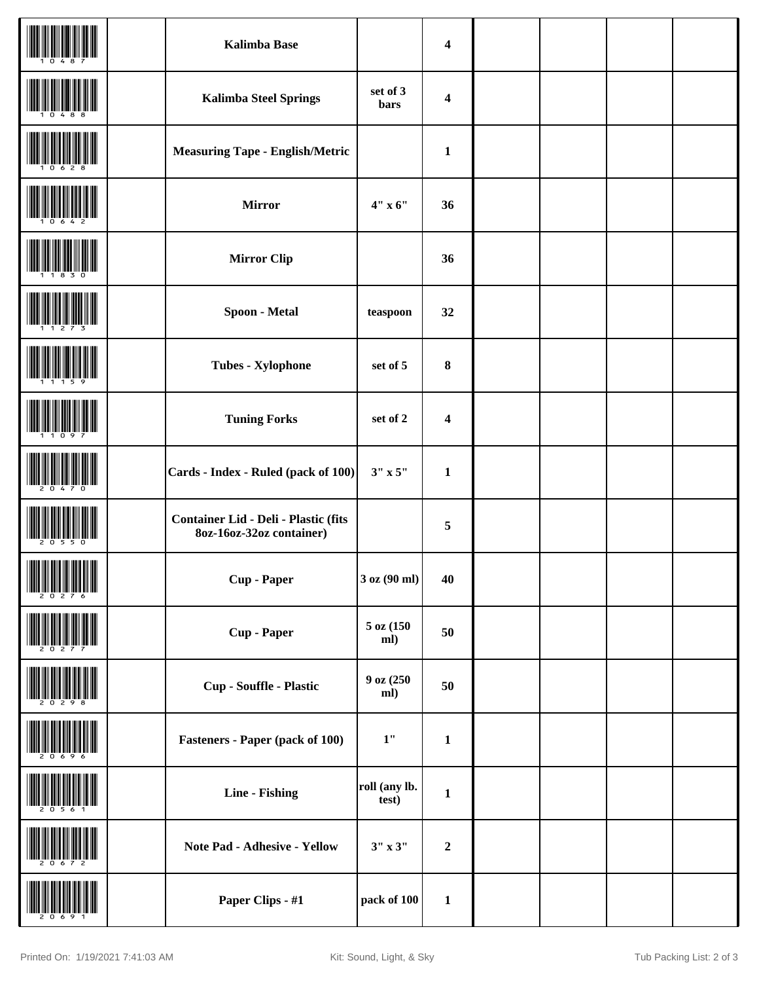|                                                    | <b>Kalimba Base</b>                                                     |                        | $\boldsymbol{4}$        |  |  |
|----------------------------------------------------|-------------------------------------------------------------------------|------------------------|-------------------------|--|--|
|                                                    | <b>Kalimba Steel Springs</b>                                            | set of 3<br>bars       | $\overline{\mathbf{4}}$ |  |  |
|                                                    | <b>Measuring Tape - English/Metric</b>                                  |                        | $\mathbf{1}$            |  |  |
|                                                    | <b>Mirror</b>                                                           | 4" x 6"                | 36                      |  |  |
|                                                    | <b>Mirror Clip</b>                                                      |                        | 36                      |  |  |
|                                                    | Spoon - Metal                                                           | teaspoon               | 32                      |  |  |
|                                                    | <b>Tubes - Xylophone</b>                                                | set of 5               | 8                       |  |  |
|                                                    | <b>Tuning Forks</b>                                                     | set of 2               | $\overline{\mathbf{4}}$ |  |  |
|                                                    | Cards - Index - Ruled (pack of 100)                                     | $3"$ x $5"$            | $\mathbf{1}$            |  |  |
|                                                    | <b>Container Lid - Deli - Plastic (fits</b><br>8oz-16oz-32oz container) |                        | 5                       |  |  |
| <b>THE REAL PROPERTY OF A</b><br><b>III</b> JULIUS | <b>Cup</b> - Paper                                                      | 3 oz (90 ml)           | 40                      |  |  |
|                                                    | <b>Cup</b> - Paper                                                      | $5$ oz $(150)$<br>ml)  | 50                      |  |  |
|                                                    | <b>Cup - Souffle - Plastic</b>                                          | 9 oz (250<br>ml)       | 50                      |  |  |
|                                                    | <b>Fasteners - Paper (pack of 100)</b>                                  | $1"$                   | $\mathbf{1}$            |  |  |
|                                                    | <b>Line - Fishing</b>                                                   | roll (any lb.<br>test) | $\mathbf{1}$            |  |  |
|                                                    | Note Pad - Adhesive - Yellow                                            | $3'' \times 3''$       | $\boldsymbol{2}$        |  |  |
|                                                    | Paper Clips - #1                                                        | pack of 100            | $\mathbf 1$             |  |  |